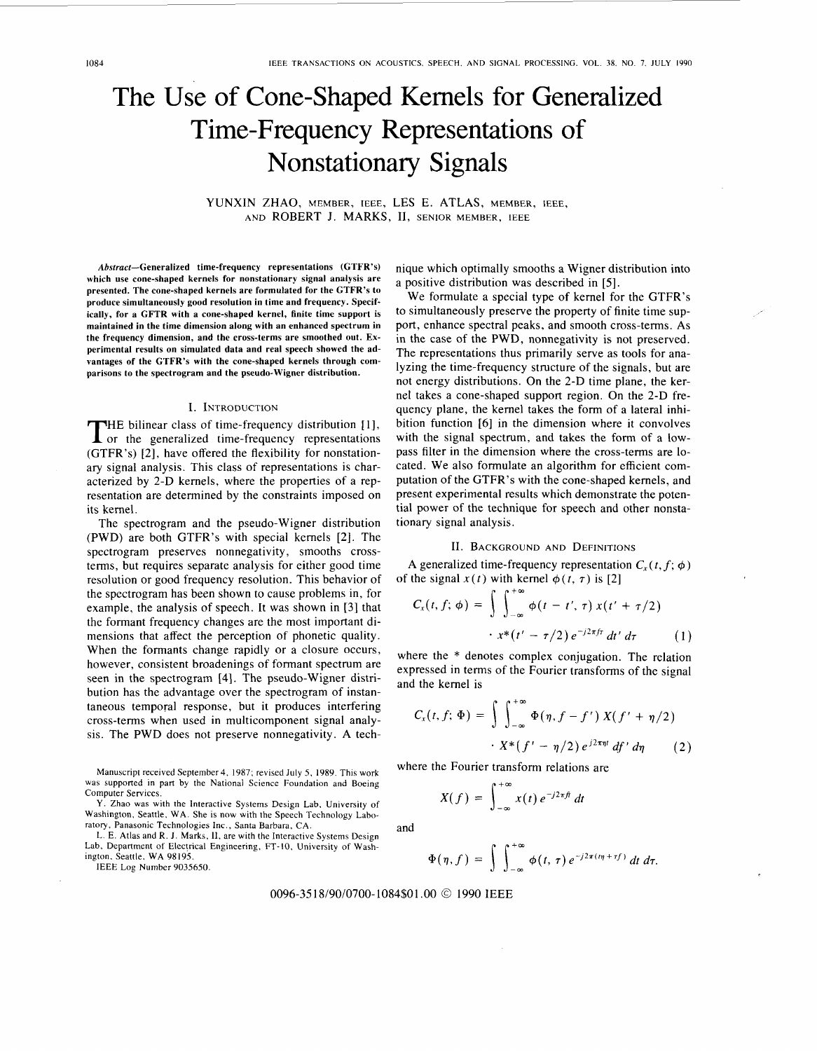# The Use of Cone-Shaped Kernels for Generalized Time-Frequency Representations of Nonstationary Signals

YUNXIN ZHAO, MEMBER, IEEE, LES E. ATLAS, MEMBER, IEEE, AND ROBERT J. MARKS, II, SENIOR MEMBER, IEEE

**Abstract-Generalized time-frequency representations (GTFR's) which use cone-shaped kernels for nonstationary signal analysis are presented. The cone-shaped kernels are formulated for the GTFR's to produce simultaneously good resolution in time and frequency. Specifically, for a GFTR with a cone-shaped kernel, finite time support is maintained in the time dimension along with an enhanced spectrum in the frequency dimension, and the cross-terms are smoothed out. Experimental results on simulated data and real speech showed the advantages of the GTFR's with the cone-shaped kernels through comparisons to the spectrogram and the pseudo-Wigner distribution.** 

#### I. INTRODUCTION

**THE bilinear class of time-frequency distribution [1],** or the generalized time-frequency representations (GTFR's) *[2],* have offered the flexibility for nonstationary signal analysis. This class of representations is characterized by 2-D kernels, where the properties of a representation are determined by the constraints imposed on its kernel.

The spectrogram and the pseudo-Wigner distribution (PWD) are both GTFR's with special kernels *[2].* The spectrogram preserves nonnegativity, smooths crossterms, but requires separate analysis for either good time resolution or good frequency resolution. This behavior of the spectrogram has been shown to cause problems in, for example, the analysis of speech. It was shown in *[3]* that the formant frequency changes are the most important dimensions that affect the perception of phonetic quality. When the formants change rapidly or a closure occurs, however, consistent broadenings of formant spectrum are seen in the spectrogram **[4].** The pseudo-Wigner distribution has the advantage over the spectrogram of instantaneous temporal response, but it produces interfering cross-terms when used in multicomponent signal analysis. The PWD does not preserve nonnegativity. A tech-

Manuscript received September4, 1987; revised July *5.* 1989. This **work**  was supported in part by the National Science Foundation and Boeing Computer Services.

Y. Zhao was with the Interactive Systems Design Lab, University of Washington, Seattle, WA. She is now with the Speech Technology Laboratory, Panasonic Technologies Inc., Santa Barbara, **CA.** 

L. **E.** Atlas and **R.** J. Marks, **11,** are with the Interactive Systems Design Lab, Department of Electrical Engineering. FT-IO, University of Washington. Seattle, WA 98195.

IEEE Log Number 9035650.

nique which optimally smooths a Wigner distribution into a positive distribution was described in *[5].* 

We formulate a special type of kernel for the GTFR's to simultaneously preserve the property of finite time support, enhance spectral peaks, and smooth cross-terms. As in the case of the PWD, nonnegativity is not preserved. The representations thus primarily serve as tools for analyzing the time-frequency structure of the signals, but are not energy distributions. On the 2-D time plane, the kernel takes a cone-shaped support region. On the 2-D frequency plane, the kernel takes the form of a lateral inhibition function *[6]* in the dimension where it convolves with the signal spectrum, and takes the form of a lowpass filter in the dimension where the cross-terms are located. We also formulate an algorithm for efficient computation of the GTFR's with the cone-shaped kernels, and present experimental results which demonstrate the potential power of the technique for speech and other nonstationary signal analysis.

## **11.** BACKGROUND AND DEFINITIONS

A generalized time-frequency representation  $C_r(t, f; \phi)$ of the signal  $x(t)$  with kernel  $\phi(t, \tau)$  is [2]

$$
C_x(t, f; \phi) = \int \int_{-\infty}^{+\infty} \phi(t - t', \tau) x(t' + \tau/2)
$$

$$
\cdot x^*(t' - \tau/2) e^{-j2\pi ft} dt' d\tau \qquad (1)
$$

where the \* denotes complex conjugation. The relation expressed in terms of the Fourier transforms of the signal and the kernel is

$$
C_x(t, f; \Phi) = \int \int_{-\infty}^{+\infty} \Phi(\eta, f - f') X(f' + \eta/2)
$$

$$
\cdot X^*(f' - \eta/2) e^{j2\pi\eta t} df' d\eta \qquad (2)
$$

where the Fourier transform relations are

$$
X(f) = \int_{-\infty}^{+\infty} x(t) e^{-j2\pi ft} dt
$$

and

$$
\Phi(\eta,f)=\int\int_{-\infty}^{+\infty}\phi(t,\,\tau)\,e^{-j2\pi((\eta+\tau f)}\,dt\,d\tau.
$$

*0096-35 18/90/0700-* 1084\$01 *.OO O 1990* IEEE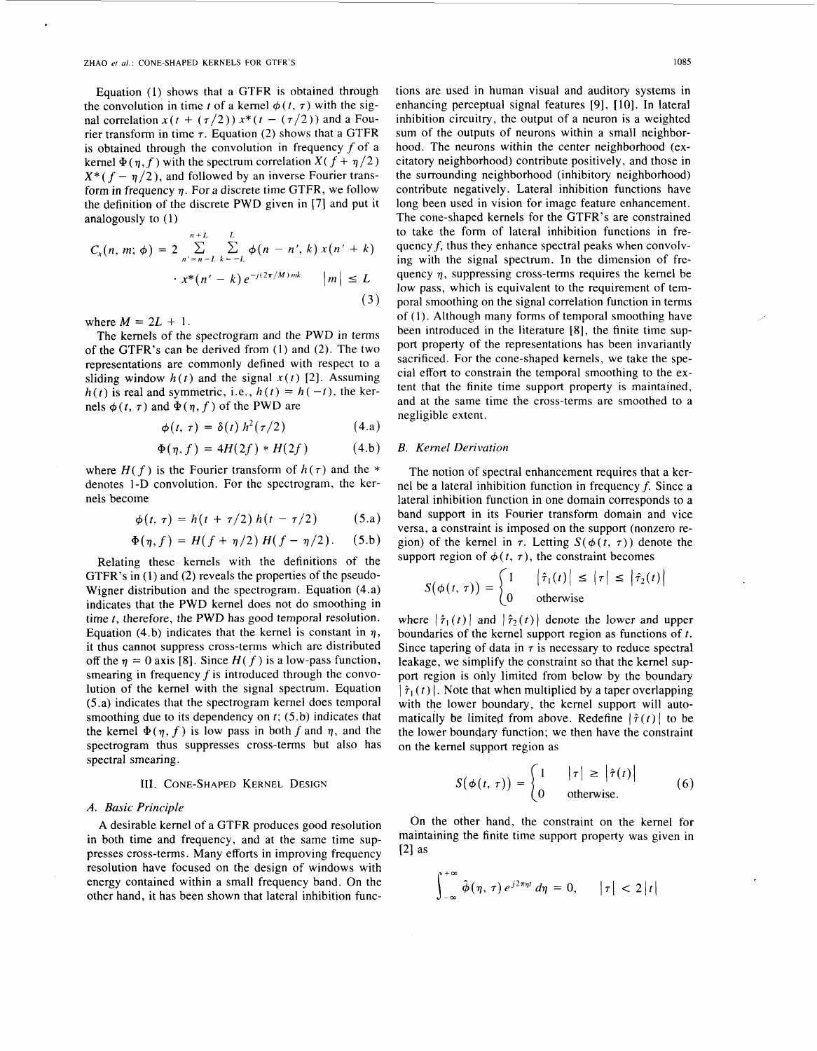Equation (1) shows that a GTFR is obtained through the convolution in time *t* of a kernel  $\phi(t, \tau)$  with the signal correlation  $x(t + (\tau/2))x^*(t - (\tau/2))$  and a Fourier transform in time  $\tau$ . Equation (2) shows that a GTFR is obtained through the convolution in frequency  $f$  of a kernel  $\Phi(\eta, f)$  with the spectrum correlation  $X(f + \eta/2)$  $X^*(f - \eta/2)$ , and followed by an inverse Fourier transform in frequency  $\eta$ . For a discrete time GTFR, we follow the definition of the discrete **PWD** given in (71 and put it analogously to (1)

$$
C_x(n, m; \phi) = 2 \sum_{n'=n-L}^{n+L} \sum_{k=-L}^{L} \phi(n - n', k) x(n' + k)
$$
  
 
$$
\cdot x^*(n' - k) e^{-j(2\pi/M)mk} \qquad |m| \le L
$$

$$
f_{\rm{max}}
$$

**(3)** 

where  $M = 2L + 1$ .

The kernels of the spectrogram and the PWD in terms of the GTFR's can be derived from (1) and (2). The two representations are commonly defined with respect to a sliding window  $h(t)$  and the signal  $x(t)$  [2]. Assuming  $h(t)$  is real and symmetric, i.e.,  $h(t) = h(-t)$ , the kernels  $\phi(t, \tau)$  and  $\Phi(\eta, f)$  of the PWD are

$$
\phi(t,\,\tau)=\delta(t)\,h^2(\tau/2)\qquad \qquad (4.\text{a})
$$

$$
\Phi(\eta, f) = 4H(2f) * H(2f) \tag{4.b}
$$

where  $H(f)$  is the Fourier transform of  $h(\tau)$  and the \* denotes **l-D** convolution. For the spectrogram, the kernels become

$$
\phi(t, \tau) = h(t + \tau/2) h(t - \tau/2)
$$
 (5.a)

$$
\Phi(\eta, f) = H(f + \eta/2) H(f - \eta/2). \quad (5.b)
$$

Relating these kernels with the definitions of the GTFR's in **(1)** and (2) reveals the properties of the pseudo-Wigner distribution and the spectrogram. Equation (4.a) indicates that the **PWD** kernel does not do smoothing in time **t,** therefore, the **PWD** has good temporal resolution. Equation (4.b) indicates that the kernel is constant in  $\eta$ , it thus cannot suppress cross-terms which are distributed off the  $\eta = 0$  axis [8]. Since  $H(f)$  is a low-pass function, smearing in frequency *f* is introduced through the convolution of the kernel with the signal spectrum. Equation (5 .a) indicates that the spectrogram kernel does temporal smoothing due to its dependency on *f;* (5.b) indicates that the kernel  $\Phi(\eta, f)$  is low pass in both f and  $\eta$ , and the spectrogram thus suppresses cross-terms but also has spectral smearing.

## 111. **CONE-SHAPED KERNEL DESIGN**

## *A. Basic Principle*

A desirable kernel of a GTFR produces good resolution in both time and frequency, and at the same time suppresses cross-terms. Many efforts in improving frequency resolution have focused on the design of windows with energy contained within a small frequency band. On the other hand, it has been shown that lateral inhibition functions are used in human visual and auditory systems in enhancing perceptual signal features [9], [10]. In lateral inhibition circuitry, the output of **a** neuron is a weighted sum of the outputs of neurons within a small neighborhood. The neurons within the center neighborhood (excitatory neighborhood) contribute positively, and those in the surrounding neighborhood (inhibitory neighborhood) contribute negatively. Lateral inhibition functions have long been used in vision for image feature enhancement. The cone-shaped kernels for the GTFR's are constrained to take the form of lateral inhibition functions in frequency *f,* thus they enhance spectral peaks when convolving with the signal spectrum. In the dimension of frequency *q,* suppressing cross-terms requires the kernel be low pass, which is equivalent to the requirement of temporal smoothing on the signal correlation function in terms of (I). Although many forms of temporal smoothing have been introduced in the literature **[8],** the finite time support property of the representations has been invariantly sacrificed. For the cone-shaped kernels, we take the special effort to constrain the temporal smoothing to the extent that the finite time support property is maintained, and at the same time the cross-terms are smoothed to a negligible extent.

## *B. Kernel Derivation*

The notion of spectral enhancement requires that a kernel be a lateral inhibition function in frequency *f.* Since a lateral inhibition function in one domain corresponds to a band support in its Fourier transform domain and vice versa, a constraint is imposed on the support (nonzero region) of the kernel in  $\tau$ . Letting  $S(\phi(t, \tau))$  denote the support region of  $\phi(t, \tau)$ , the constraint becomes

$$
S(\phi(t,\tau)) = \begin{cases} 1 & |\hat{\tau}_1(t)| \leq |\tau| \leq |\hat{\tau}_2(t)| \\ 0 & \text{otherwise} \end{cases}
$$

where  $|\hat{\tau}_1(t)|$  and  $|\hat{\tau}_2(t)|$  denote the lower and upper boundaries of the kernel support region as functions of  $t$ . Since tapering of data in  $\tau$  is necessary to reduce spectral leakage, we simplify the constraint so that the kernel support region is only limited from below by the boundary  $|\hat{\tau}_1(t)|$ . Note that when multiplied by a taper overlapping with the lower boundary, the kernel support will automatically be limited from above. Redefine  $|\hat{\tau}(t)|$  to be the lower boundary function; we then have the constraint on the kernel sqpport region as

$$
S(\phi(t,\tau)) = \begin{cases} 1 & |\tau| \geq |\hat{\tau}(t)| \\ 0 & \text{otherwise.} \end{cases}
$$
 (6)

On the other hand, the constraint on the kernel for maintaining the finite time support property was given in  $\lceil 2 \rceil$  as

$$
\int_{-\infty}^{+\infty} \hat{\phi}(\eta, \tau) e^{j2\pi\eta t} d\eta = 0, \qquad |\tau| < 2|t|
$$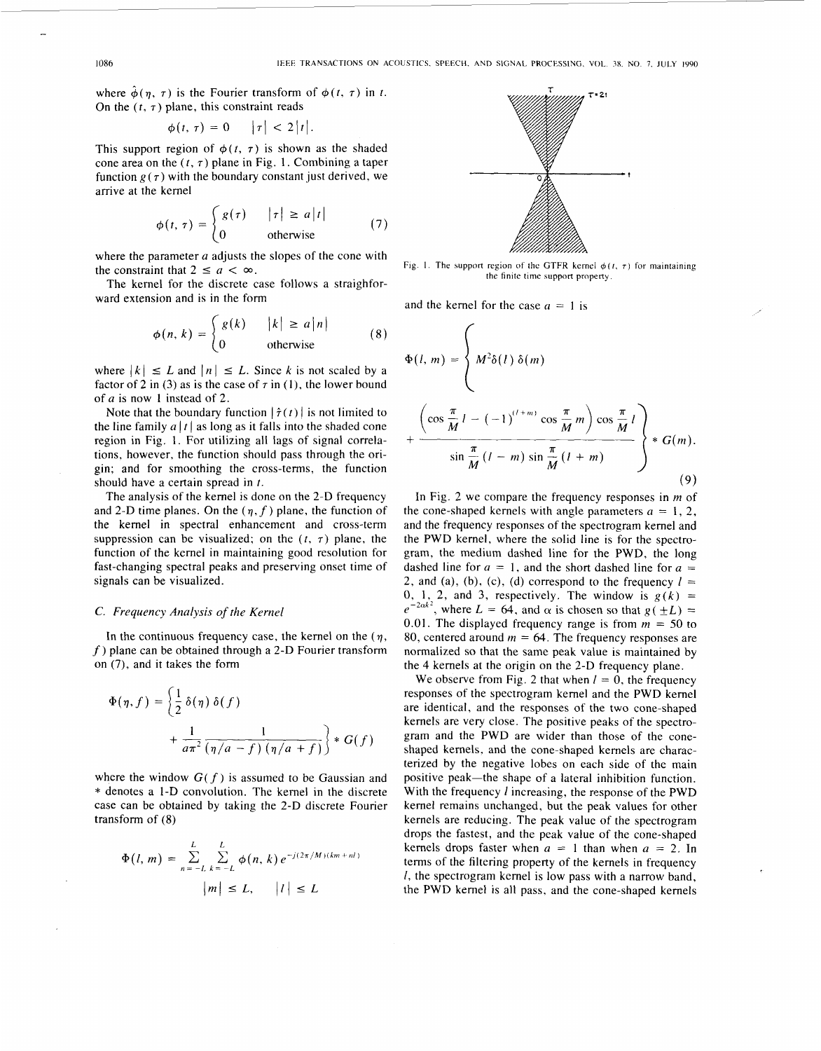where  $\hat{\phi}(\eta, \tau)$  is the Fourier transform of  $\phi(t, \tau)$  in *t*. On the  $(t, \tau)$  plane, this constraint reads

$$
\phi(t,\,\tau)=0\qquad |\tau|<2\,|t|.
$$

This support region of  $\phi(t, \tau)$  is shown as the shaded cone area on the  $(t, \tau)$  plane in Fig. 1. Combining a taper function  $g(\tau)$  with the boundary constant just derived, we arrive at the kernel

$$
\phi(t,\,\tau) = \begin{cases} g(\tau) & |\tau| \geq a|t| \\ 0 & \text{otherwise} \end{cases} \tag{7}
$$

where the parameter *a* adjusts the slopes of the cone with where the parameter *a* adjusts the<br>the constraint that  $2 \le a < \infty$ .<br>The kernel for the discrete ca

The kernel for the discrete case follows a straighforward extension and is in the form

$$
\phi(n, k) = \begin{cases} g(k) & |k| \ge a |n| \\ 0 & \text{otherwise} \end{cases} \tag{8}
$$

where  $|k| \leq L$  and  $|n| \leq L$ . Since *k* is not scaled by a factor of 2 in (3) as is the case of  $\tau$  in (1), the lower bound of *a* is now **1** instead of 2.

Note that the boundary function  $|\hat{\tau}(t)|$  is not limited to the line family  $a |t|$  as long as it falls into the shaded cone region in Fig. 1. For utilizing all lags of signal correlations, however, the function should pass through the origin; and for smoothing the cross-terms, the function should have a certain spread in *t.* 

The analysis of the kernel is done on the 2-D frequency and 2-D time planes. On the  $(\eta, f)$  plane, the function of the kernel in spectral enhancement and cross-term suppression can be visualized; on the  $(t, \tau)$  plane, the function of the kernel in maintaining good resolution for fast-changing spectral peaks and preserving onset time of signals can be visualized.

#### *C. Frequency Analysis of the Kernel*

In the continuous frequency case, the kernel on the  $(\eta, \eta)$ *f)* plane can be obtained through a 2-D Fourier transform on (7), and it takes the form

$$
\Phi(\eta, f) = \left\{ \frac{1}{2} \delta(\eta) \delta(f) + \frac{1}{a\pi^2} \frac{1}{(\eta/a - f) (\eta/a + f)} \right\} * G(f)
$$

where the window  $G(f)$  is assumed to be Gaussian and \* denotes a I-D convolution. The kernel in the discrete case can be obtained by taking the 2-D discrete Fourier transform of (8)

$$
\Phi(l, m) = \sum_{n = -L}^{L} \sum_{k = -L}^{L} \phi(n, k) e^{-j(2\pi/M)(km + nl)}
$$
  

$$
|m| \le L, \quad |l| \le L
$$



Fig. 1. The support region of the GTFR kernel  $\phi(t, \tau)$  for maintaining the finite time support property.

and the kernel for the case  $a = 1$  is

$$
\Phi(l, m) = \left\{ M^2 \delta(l) \delta(m)
$$
  
+ 
$$
\frac{\left(\cos \frac{\pi}{M} l - (-1)^{(l+m)} \cos \frac{\pi}{M} m\right) \cos \frac{\pi}{M} l}{\sin \frac{\pi}{M} (l-m) \sin \frac{\pi}{M} (l+m)} \right\} * G(m).
$$
 (9)

In [Fig. 2](#page-3-0) we compare the frequency responses in *m* of the cone-shaped kernels with angle parameters  $a = 1, 2,$ and the frequency responses of the spectrogram kernel and the PWD kernel, where the solid line is for the spectrogram, the medium dashed line for the PWD, the long dashed line for  $a = 1$ , and the short dashed line for  $a = 2$ , and (a), (b), (c), (d) correspond to the frequency  $l =$ 2, and (a), (b), (c), (d) correspond to the frequency  $l =$ 0, 1, 2, and 3, respectively. The window is  $g(k) =$  $e^{-2\alpha k^2}$ , where  $L = 64$ , and  $\alpha$  is chosen so that  $g(\pm L) =$  $e^{-2\alpha k^2}$ , where  $L = 64$ , and  $\alpha$  is chosen so that  $g(\pm L) = 0.01$ . The displayed frequency range is from  $m = 50$  to 80, centered around  $m = 64$ . The frequency responses are normalized so that the same peak value is maintained by the 4 kernels at the origin on the 2-D frequency plane.

We observe from [Fig. 2](#page-3-0) that when  $l = 0$ , the frequency responses of the spectrogram kernel and the PWD kernel are identical, and the responses of the two cone-shaped kernels are very close. The positive peaks of the spectrogram and the PWD are wider than those of the coneshaped kernels, and the cone-shaped kernels are characterized by the negative lobes on each side of the main positive peak-the shape of a lateral inhibition function. With the frequency *1* increasing, the response of the PWD kernel remains unchanged, but the peak values for other kernels are reducing. The peak value of the spectrogram drops the fastest, and the peak value of the cone-shaped kernels drops faster when  $a = 1$  than when  $a = 2$ . In terms of the filtering property of the kernels in frequency *I,* the spectrogram kernel is low pass with a narrow band, the PWD kernel is all pass, and the cone-shaped kernels

-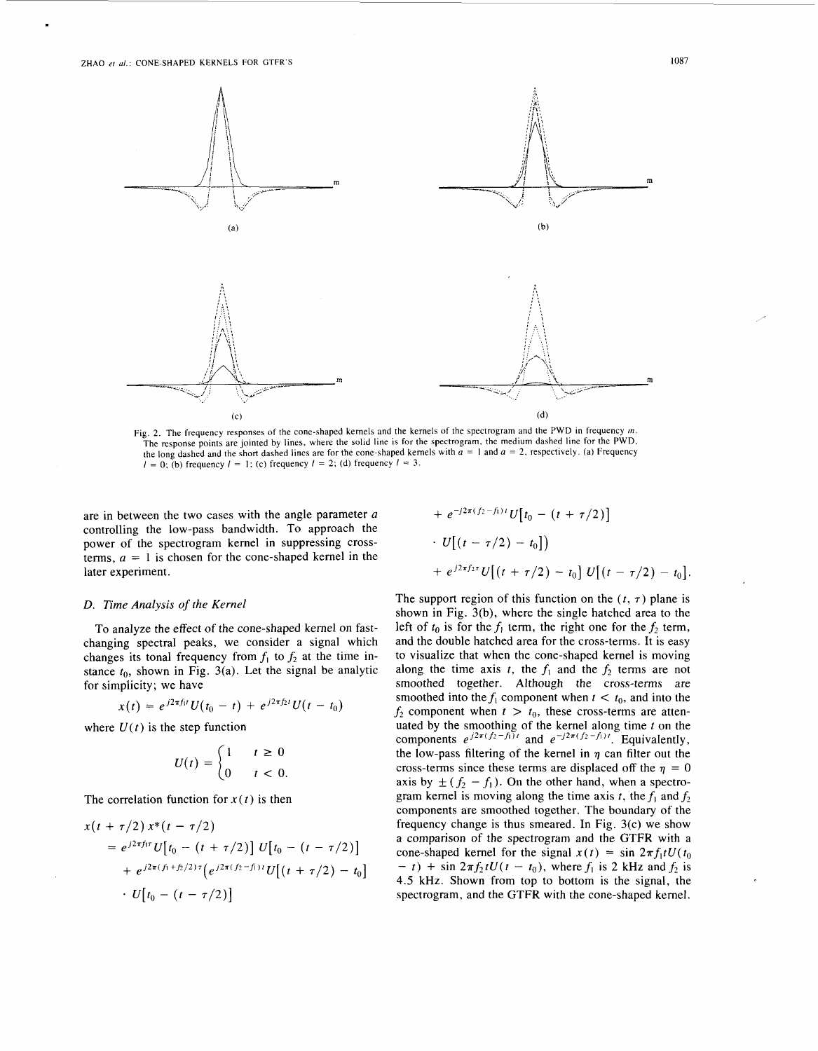<span id="page-3-0"></span>

Fig. 2. The frequency responses of the cone-shaped kernels and the kernels of the spectrogram and the PWD in frequency *m.*  The response points are jointed by lines, where the solid line is for the spectrogram, the medium dashed line for the PWD, the long dashed and the short dashed lines are for the cone-shaped kernels with  $\overline{a} = 1$  and  $a = 2$ , respectively. (a) Frequency  $I = 0$ ; (b) frequency  $I = 1$ ; (c) frequency  $I = 2$ ; (d) frequency  $I = 3$ .

are in between the two cases with the angle parameter a controlling the low-pass bandwidth. To approach the terms,  $a = 1$  is chosen for the cone-shaped kernel in the power of the spectrogram kernel in suppressing crosslater experiment.

+ 
$$
e^{-j2\pi (f_2 - f_1)t} U[t_0 - (t + \tau/2)]
$$
  
\n $\cdot U[(t - \tau/2) - t_0])$   
\n+  $e^{j2\pi f_2\tau} U[(t + \tau/2) - t_0] U[(t - \tau/2) - t_0].$ 

#### *D. Time Analysis* of *the Kernel*

To analyze the effect of the cone-shaped kernel on fastchanging spectral peaks, we consider a signal which changes its tonal frequency from  $f_1$  to  $f_2$  at the time instance  $t_0$ , shown in Fig. 3(a). Let the signal be analytic for simplicity; we have

$$
x(t) = e^{j2\pi f_1 t} U(t_0 - t) + e^{j2\pi f_2 t} U(t - t_0)
$$

where  $U(t)$  is the step function

$$
U(t) = \begin{cases} 1 & t \ge 0 \\ 0 & t < 0. \end{cases}
$$

The correlation function for  $x(t)$  is then

$$
x(t + \tau/2) x^*(t - \tau/2)
$$
  
=  $e^{j2\pi f_1\tau} U[t_0 - (t + \tau/2)] U[t_0 - (t - \tau/2)]$   
+  $e^{j2\pi (f_1 + f_2/2)\tau} (e^{j2\pi (f_2 - f_1)t} U[(t + \tau/2) - t_0])$   
 $\cdot U[t_0 - (t - \tau/2)]$ 

The support region of this function on the  $(t, \tau)$  plane is shown in Fig. 3(b), where the single hatched area to the left of  $t_0$  is for the  $f_1$  term, the right one for the  $f_2$  term, and the double hatched area for the cross-terms. It is easy to visualize that when the cone-shaped kernel is moving along the time axis *t*, the  $f_1$  and the  $f_2$  terms are not smoothed together. Although the cross-terms are smoothed into the  $f_1$  component when  $t < t_0$ , and into the  $f_2$  component when  $t > t_0$ , these cross-terms are attenuated by the smoothing of the kernel along time *t* on the components  $e^{j2\pi (f_2 - f_1)t}$  and  $e^{-j2\pi (f_2 - f_1)t}$ . Equivalently, the low-pass filtering of the kernel in  $\eta$  can filter out the cross-terms since these terms are displaced off the  $\eta = 0$ axis by  $\pm (f_2 - f_1)$ . On the other hand, when a spectrogram kernel is moving along the time axis *t*, the  $f_1$  and  $f_2$ components are smoothed together. The boundary of the frequency change is thus smeared. In Fig. 3(c) we show a comparison of the spectrogram and the GTFR with a cone-shaped kernel for the signal  $x(t) = \sin 2\pi f_1 t U(t_0)$  $- t$ ) + sin  $2\pi f_2 tU(t - t_0)$ , where  $f_1$  is 2 kHz and  $f_2$  is 4.5 kHz. Shown from top to bottom is the signal, the spectrogram, and the GTFR with the cone-shaped kernel.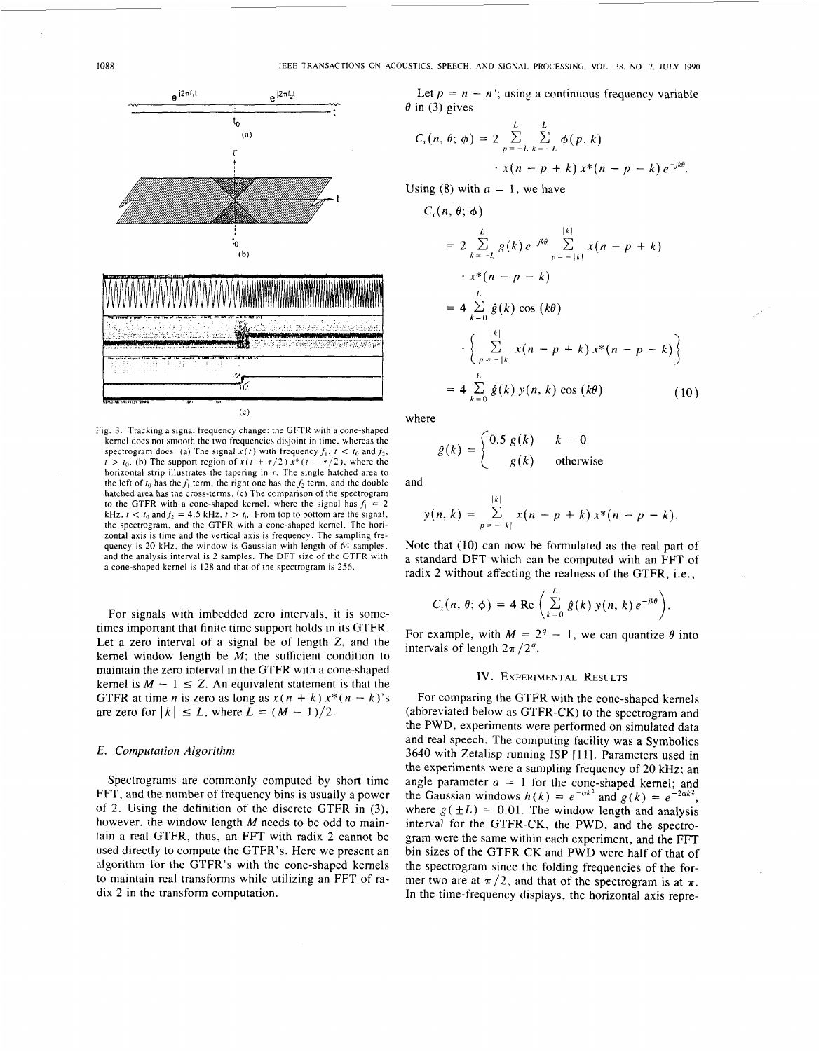

Fig. **3.** Tracking a signal frequency change: the GFTR with a cone-shaped kernel does not smooth the **two** frequencies disjoint in time, whereas the spectrogram does. (a) The signal  $x(t)$  with frequency  $f_1$ ,  $t < t_0$  and  $f_2$ ,  $t_0$ . (b) The support region of  $x(t + \tau/2) x^*(t - \tau/2)$ , where the horizontal strip illustrates the tapering in *r.* The single hatched area to the left of  $t_0$  has the  $f_1$  term, the right one has the  $f_2$  term, and the double hatched area has the cross-terms. *(c)* The comparison of the spectrogram to the GTFR with a cone-shaped kernel, where the signal has  $f_1 = 2$ kHz,  $t < t_0$  and  $f_2 = 4.5$  kHz,  $t > t_0$ . From top to bottom are the signal, the spectrogram, and the GTFR with a cone-shaped kernel. The horizontal axis is time and the vertical axis is frequency. The sampling frequency is **20** kHz. the window is Gaussian with length of 64 samples. and the analysis interval is 2 samples. The DFT size of the GTFR with a cone-shaped kernel is **128** and that of the spectrogram is 256.

For signals with imbedded zero intervals, it is sometimes important that finite time support holds in its GTFR. Let a zero interval of a signal be of length *2,* and the kernel window length be *M*; the sufficient condition to maintain the zero interval in the GTFR with a cone-shaped kernel is  $M - 1 \leq Z$ . An equivalent statement is that the GTFR at time *n* is zero as long as  $x(n + k) x^*(n - k$ maintain the zero interval in the GTFR with a cone-shaped GTFR at time *n* is zero as long as  $x(n + k) x^*(n - k)$ 's are zero for  $|k| \le L$ , where  $L = (M - 1)/2$ . kernel is  $M - 1 \leq Z$ . An equivalent statement is that the

## *E. Computation Algorithm*

Spectrograms are commonly computed by short time FFT, and the number of frequency bins is usually a power of 2. Using the definition of the discrete GTFR in *(3),*  however, the window length *M* needs to be odd to maintain a real GTFR, thus, an FFT with radix 2 cannot be used directly to compute the GTFR's. Here we present an algorithm for the GTFR's with the cone-shaped kernels to maintain real transforms while utilizing an FFT of radix *2* in the transform computation.

Let  $p = n - n'$ ; using a continuous frequency variable  $\theta$  in (3) gives

$$
C_x(n, \theta; \phi) = 2 \sum_{p=-L}^{L} \sum_{k=-L}^{L} \phi(p, k) \cdot x(n - p + k) x^*(n - p - k) e^{-jk\theta}.
$$

Using  $(8)$  with  $a = 1$ , we have

$$
C_x(n, \theta; \phi)
$$
  
=  $2 \sum_{k=-L}^{L} g(k) e^{-jk\theta} \sum_{p=-|k|}^{|k|} x(n-p+k)$   

$$
\cdot x^*(n-p-k)
$$
  
=  $4 \sum_{k=0}^{L} \hat{g}(k) \cos(k\theta)$   

$$
\cdot \left\{ \sum_{p=-|k|}^{|k|} x(n-p+k) x^*(n-p-k) \right\}
$$
  
=  $4 \sum_{k=0}^{L} \hat{g}(k) y(n, k) \cos(k\theta)$  (10)

where

$$
\hat{g}(k) = \begin{cases} 0.5 \ g(k) & k = 0 \\ g(k) & \text{otherwise} \end{cases}
$$

and

$$
y(n, k) = \sum_{p=-|k|}^{|k|} x(n-p+k) x^{*}(n-p-k).
$$

Note that (10) can now be formulated as the real part of a standard DFT which can be computed with an FFT of radix 2 without affecting the realness of the GTFR, i.e.,

$$
C_x(n, \theta; \phi) = 4 \operatorname{Re} \left( \sum_{k=0}^{L} \hat{g}(k) y(n, k) e^{-jk\theta} \right)
$$

For example, with  $M = 2^q - 1$ , we can quantize  $\theta$  into intervals of length  $2\pi/2^q$ .

### **IV. EXPERIMENTAL** RESULTS

For comparing the GTFR with the cone-shaped kernels (abbreviated below as GTFR-CK) to the spectrogram and the PWD, experiments were performed on simulated data and real speech. The computing facility was a Symbolics **3640** with Zetalisp running **ISP** [ 1 **I].** Parameters used in the experiments were a sampling frequency of 20 kHz; an angle parameter  $a = 1$  for the cone-shaped kernel; and the Gaussian windows  $h(k) = e^{-\alpha k^2}$  and  $g(k) = e^{-2\alpha k^2}$ , where  $g(\pm L) = 0.01$ . The window length and analysis interval for the GTFR-CK, the PWD, and the spectrogram were the same within each experiment, and the FFT bin sizes of the GTFR-CK and PWD were half of that of the spectrogram since the folding frequencies of the former two are at  $\pi/2$ , and that of the spectrogram is at  $\pi$ . In the time-frequency displays, the horizontal axis repre-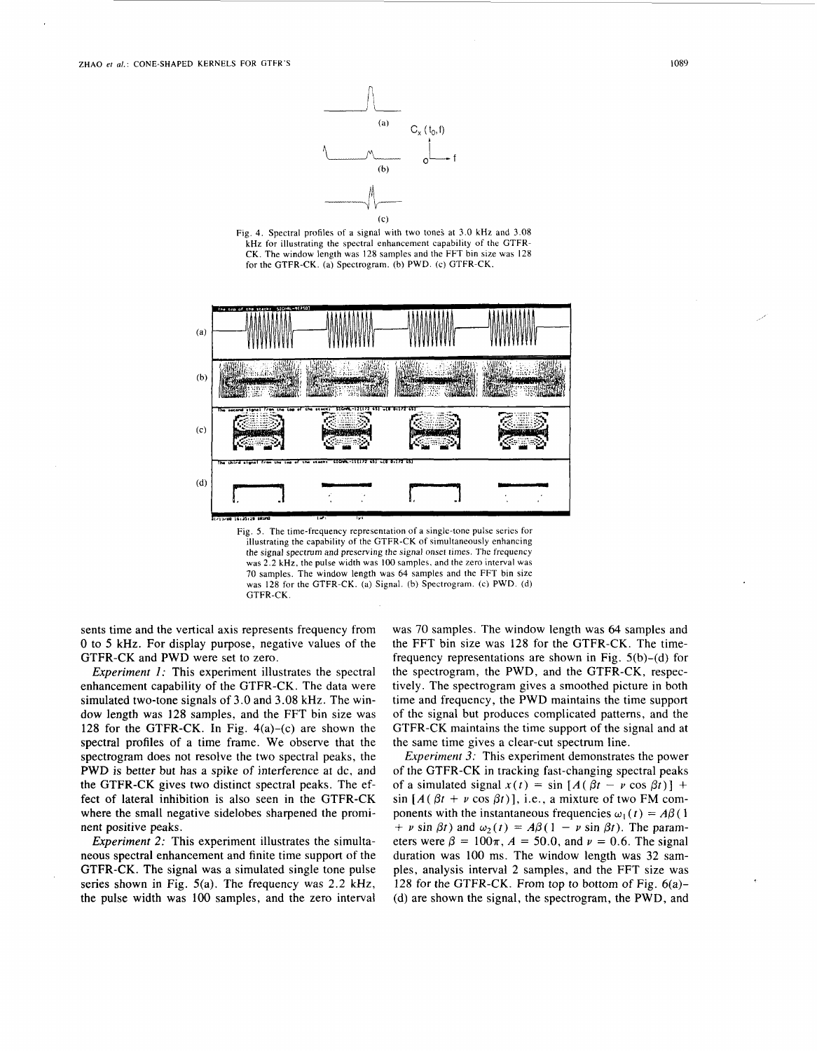





the signal spectrum and preserving the signal onset times. The frequency was *2.2* **kHz,** the pulse width was 100 samples. and the zero interval was 70 samples. The window length was 64 samples and the FFT bin size was 128 for the GTFR-CK. (a) Signal. (b) Spectrogram. (c) PWD. (d) GTFR-CK.

sents time and the vertical axis represents frequency from 0 to *5* kHz. For display purpose, negative values of the GTFR-CK and PWD were set to zero.

*Experiment 1:* This experiment illustrates the spectral enhancement capability of the GTFR-CK. The data were simulated two-tone signals of **3.0** and 3.08 kHz. The window length was 128 samples, and the FFT bin size was 128 for the GTFR-CK. In Fig.  $4(a)-(c)$  are shown the spectral profiles of a time frame. We observe that the spectrogram does not resolve the two spectral peaks, the PWD is better but has a spike of interference at dc, and the GTFR-CK gives two distinct spectral peaks. The effect of lateral inhibition is also seen in the GTFR-CK where the small negative sidelobes sharpened the prominent positive peaks.

*Experiment 2:* This experiment illustrates the simultaneous spectral enhancement and finite time support of the GTFR-CK. The signal was a simulated single tone pulse series shown in Fig. 5(a). The frequency was **2.2** kHz, the pulse width was 100 samples, and the zero interval

was 70 samples. The window length was 64 samples and the FFT bin size was **128** for the GTFR-CK. The timefrequency representations are shown in Fig. 5(b)-(d) for the spectrogram, the PWD, and the GTFR-CK, respectively. The spectrogram gives a smoothed picture in both time and frequency, the PWD maintains the time support of the signal but produces complicated patterns, and the GTFR-CK maintains the time support of the signal and at the same time gives a clear-cut spectrum line.

*Experiment* 3: This experiment demonstrates the power of the GTFR-CK in tracking fast-changing spectral peaks of a simulated signal  $x(t) = \sin [A(\beta t - \nu \cos \beta t)] +$  $\sin [A(\beta t + \nu \cos \beta t)],$  i.e., a mixture of two FM components with the instantaneous frequencies  $\omega_1(t) = A\beta(1)$ + *v* sin  $\beta t$ ) and  $\omega_2(t) = A\beta(1 - v \sin \beta t)$ . The parameters were  $\beta = 100\pi$ ,  $A = 50.0$ , and  $\nu = 0.6$ . The signal duration was 100 ms. The window length was **32** samples, analysis interval 2 samples, and the FFT size was **128** for the GTFR-CK. From top to bottom of Fig. 6(a)- (d) are shown the signal, the spectrogram, the PWD, and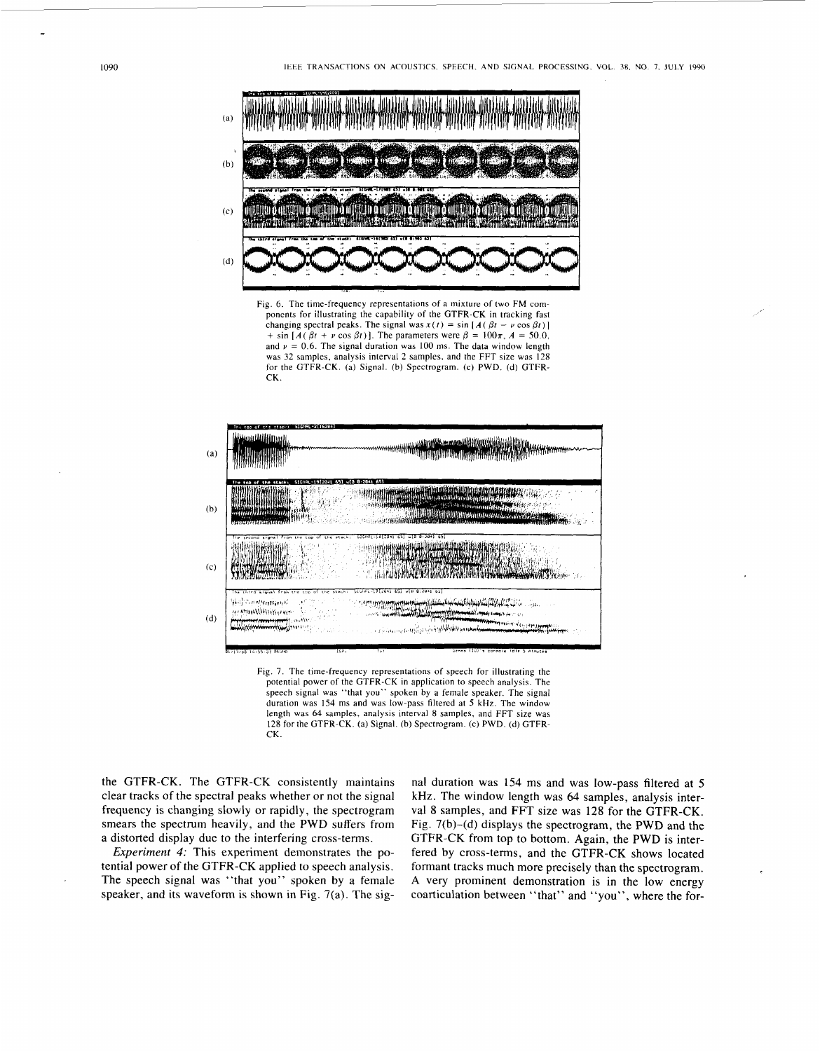

Fig. 6. The time-frequency representations of a mixture of two **FM** components for illustrating the capability of the GTFR-CK in tracking fast changing spectral peaks. The signal was  $x(t) = \sin [A(\beta t - \nu \cos \beta t)]$ + sin  $[A(\beta t + \nu \cos \beta t)]$ . The parameters were  $\beta = 100\pi$ ,  $A = 50.0$ . and  $\nu = 0.6$ . The signal duration was 100 ms. The data window length was 32 samples, analysis interval *2* samples, and the FFT size was 128 for the GTFR-CK. (a) Signal. (b) Spectrogram. (c) PWD. (d) GTFR- $CK$ 



Fig. 7. The time-frequency representations of speech for illustrating the potential power of the GTFR-CK in application to speech analysis. The speech signal was "that you" spoken by a female speaker. The signal duration was 154 ms and was low-pass filtered at *5* kHz. The window length was 64 samples, analysis interval 8 samples, and FFT size was **128** for the GTFR-CK. (a) Signal. (b) Spectrogram. (c) PWD. (d) GTFR-CK.

the GTFR-CK. The GTFR-CK consistently maintains clear tracks of the spectral peaks whether or not the signal frequency is changing slowly or rapidly, the spectrogram smears the spectrum heavily, and the PWD suffers from a distorted display due to the interfering cross-terms.

*Experiment 4:* This experiment demonstrates the potential power of the GTFR-CK applied to speech analysis. The speech signal was "that you" spoken by a female speaker, and its waveform is shown in Fig. 7(a). The signal duration was 154 ms and was low-pass filtered at *5*  kHz. The window length was 64 samples, analysis interval **8** samples, and FFT size was **128** for the GTFR-CK. Fig. 7(b)-(d) displays the spectrogram, the PWD and the GTFR-CK from top to bottom. Again, the PWD is interfered by cross-terms, and the GTFR-CK shows located formant tracks much more precisely than the spectrogram. **A** very prominent demonstration is in the low energy coarticulation between "that" and "you", where the for